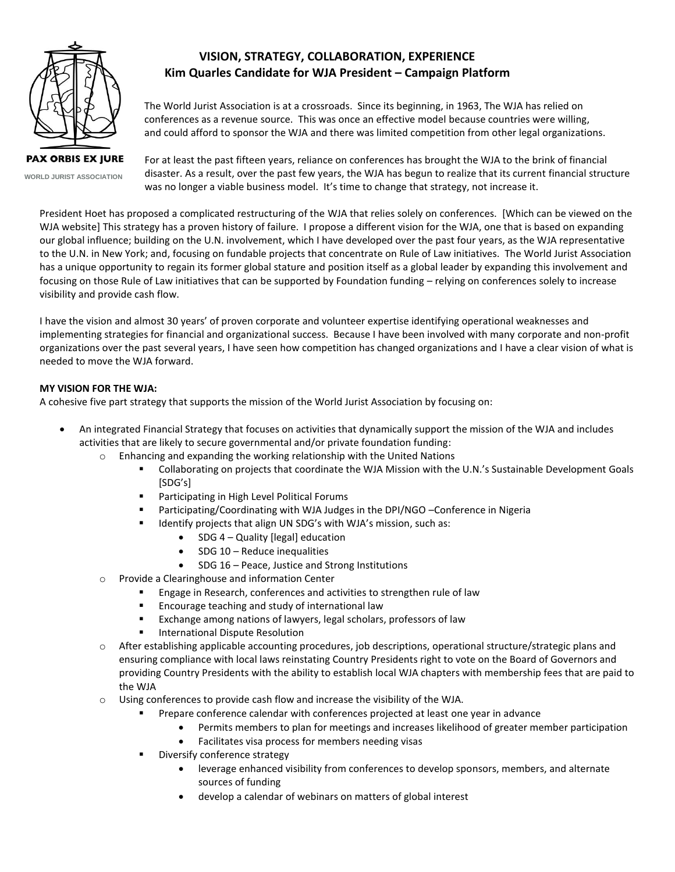

**PAX ORBIS EX JURE WORLD JURIST ASSOCIATION**

# **VISION, STRATEGY, COLLABORATION, EXPERIENCE Kim Quarles Candidate for WJA President – Campaign Platform**

 The World Jurist Association is at a crossroads. Since its beginning, in 1963, The WJA has relied on conferences as a revenue source. This was once an effective model because countries were willing, and could afford to sponsor the WJA and there was limited competition from other legal organizations.

For at least the past fifteen years, reliance on conferences has brought the WJA to the brink of financial disaster. As a result, over the past few years, the WJA has begun to realize that its current financial structure was no longer a viable business model. It's time to change that strategy, not increase it.

President Hoet has proposed a complicated restructuring of the WJA that relies solely on conferences. [Which can be viewed on the WJA website] This strategy has a proven history of failure. I propose a different vision for the WJA, one that is based on expanding our global influence; building on the U.N. involvement, which I have developed over the past four years, as the WJA representative to the U.N. in New York; and, focusing on fundable projects that concentrate on Rule of Law initiatives. The World Jurist Association has a unique opportunity to regain its former global stature and position itself as a global leader by expanding this involvement and focusing on those Rule of Law initiatives that can be supported by Foundation funding – relying on conferences solely to increase visibility and provide cash flow.

I have the vision and almost 30 years' of proven corporate and volunteer expertise identifying operational weaknesses and implementing strategies for financial and organizational success. Because I have been involved with many corporate and non-profit organizations over the past several years, I have seen how competition has changed organizations and I have a clear vision of what is needed to move the WJA forward.

# **MY VISION FOR THE WJA:**

A cohesive five part strategy that supports the mission of the World Jurist Association by focusing on:

- An integrated Financial Strategy that focuses on activities that dynamically support the mission of the WJA and includes activities that are likely to secure governmental and/or private foundation funding:
	- $\circ$  Enhancing and expanding the working relationship with the United Nations
		- Collaborating on projects that coordinate the WJA Mission with the U.N.'s Sustainable Development Goals [SDG's]
		- **Participating in High Level Political Forums**
		- Participating/Coordinating with WJA Judges in the DPI/NGO –Conference in Nigeria
		- **IDENTIFY IDENTIFY IS A LIGHT MET AT A LIGHT META** ISLES in Muslim Controllers:
			- SDG 4 Quality [legal] education
			- SDG 10 Reduce inequalities
			- SDG 16 Peace, Justice and Strong Institutions
	- o Provide a Clearinghouse and information Center
		- Engage in Research, conferences and activities to strengthen rule of law
		- **Encourage teaching and study of international law**
		- Exchange among nations of lawyers, legal scholars, professors of law
		- International Dispute Resolution
	- o After establishing applicable accounting procedures, job descriptions, operational structure/strategic plans and ensuring compliance with local laws reinstating Country Presidents right to vote on the Board of Governors and providing Country Presidents with the ability to establish local WJA chapters with membership fees that are paid to the WJA
	- $\circ$  Using conferences to provide cash flow and increase the visibility of the WJA.
		- **Prepare conference calendar with conferences projected at least one year in advance** 
			- Permits members to plan for meetings and increases likelihood of greater member participation
			- Facilitates visa process for members needing visas
		- Diversify conference strategy
			- leverage enhanced visibility from conferences to develop sponsors, members, and alternate sources of funding
			- develop a calendar of webinars on matters of global interest